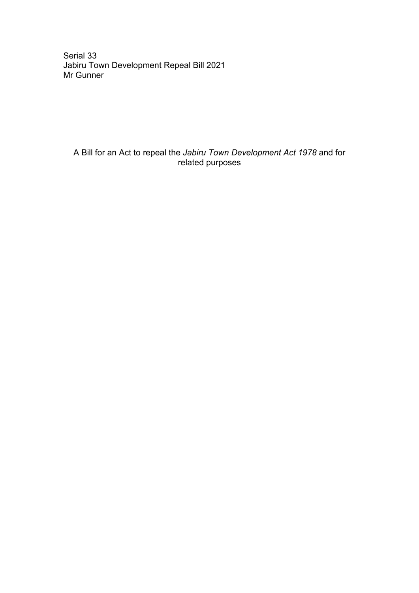Serial 33 Jabiru Town Development Repeal Bill 2021 Mr Gunner

A Bill for an Act to repeal the *Jabiru Town Development Act 1978* and for related purposes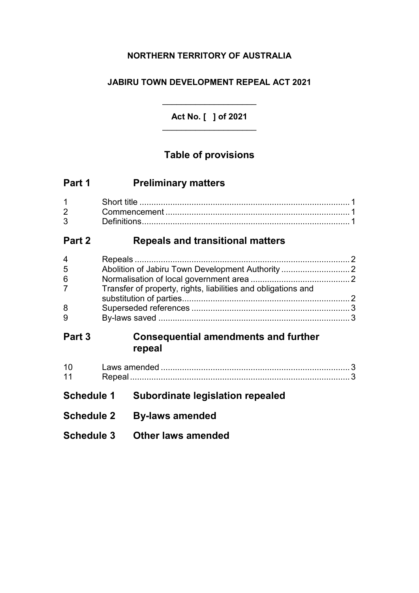## **NORTHERN TERRITORY OF AUSTRALIA**

## **JABIRU TOWN DEVELOPMENT REPEAL ACT 2021**

**Act No. [ ] of 2021**  $\overline{\phantom{a}}$  , where  $\overline{\phantom{a}}$  , where  $\overline{\phantom{a}}$  , where  $\overline{\phantom{a}}$ 

 $\overline{\phantom{a}}$  , where  $\overline{\phantom{a}}$  , where  $\overline{\phantom{a}}$  , where  $\overline{\phantom{a}}$ 

# **Table of provisions**

| Part 1 | <b>Preliminary matters</b> |
|--------|----------------------------|
|--------|----------------------------|

|                                | Short title |
|--------------------------------|-------------|
| $2 \left( \frac{1}{2} \right)$ |             |
| $3^{\circ}$                    |             |

# **Part 2 Repeals and transitional matters**

| 4           |                                                               |  |
|-------------|---------------------------------------------------------------|--|
| 5           |                                                               |  |
| 6           |                                                               |  |
| $7^{\circ}$ | Transfer of property, rights, liabilities and obligations and |  |
|             |                                                               |  |
| 8           |                                                               |  |
| 9           |                                                               |  |

## **Part 3 Consequential amendments and further repeal**

- **Schedule 1 Subordinate legislation repealed**
- **Schedule 2 By-laws amended**
- **Schedule 3 Other laws amended**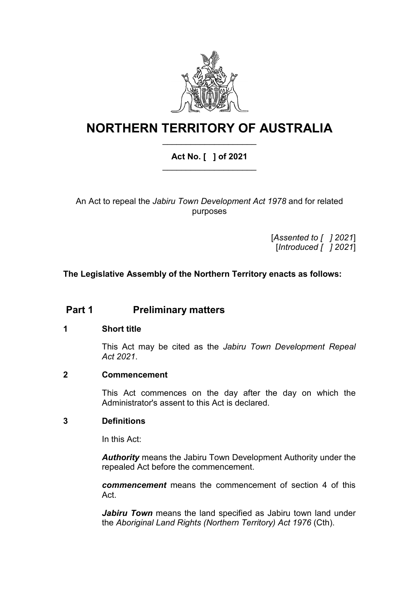

# **NORTHERN TERRITORY OF AUSTRALIA** \_\_\_\_\_\_\_\_\_\_\_\_\_\_\_\_\_\_\_\_

### **Act No. [ ] of 2021** \_\_\_\_\_\_\_\_\_\_\_\_\_\_\_\_\_\_\_\_

An Act to repeal the *Jabiru Town Development Act 1978* and for related purposes

> [*Assented to [ ] 2021*] [*Introduced [ ] 2021*]

### **The Legislative Assembly of the Northern Territory enacts as follows:**

## **Part 1 Preliminary matters**

#### **1 Short title**

This Act may be cited as the *Jabiru Town Development Repeal Act 2021*.

#### **2 Commencement**

This Act commences on the day after the day on which the Administrator's assent to this Act is declared.

#### **3 Definitions**

In this Act:

*Authority* means the Jabiru Town Development Authority under the repealed Act before the commencement.

*commencement* means the commencement of section 4 of this Act.

*Jabiru Town* means the land specified as Jabiru town land under the *Aboriginal Land Rights (Northern Territory) Act 1976* (Cth).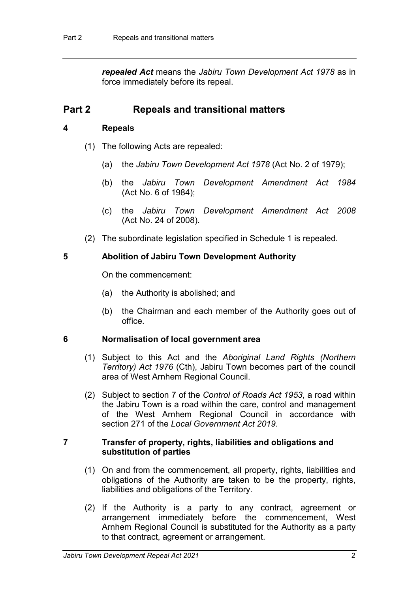*repealed Act* means the *Jabiru Town Development Act 1978* as in force immediately before its repeal.

### **Part 2 Repeals and transitional matters**

#### **4 Repeals**

- <span id="page-5-1"></span>(1) The following Acts are repealed:
	- (a) the *Jabiru Town Development Act 1978* (Act No. 2 of 1979);
	- (b) the *Jabiru Town Development Amendment Act 1984* (Act No. 6 of 1984);
	- (c) the *Jabiru Town Development Amendment Act 2008* (Act No. 24 of 2008).
- (2) The subordinate legislation specified in Schedule 1 is repealed.

#### **5 Abolition of Jabiru Town Development Authority**

On the commencement:

- (a) the Authority is abolished; and
- (b) the Chairman and each member of the Authority goes out of office.

#### **6 Normalisation of local government area**

- (1) Subject to this Act and the *Aboriginal Land Rights (Northern Territory) Act 1976* (Cth), Jabiru Town becomes part of the council area of West Arnhem Regional Council.
- (2) Subject to section 7 of the *Control of Roads Act 1953*, a road within the Jabiru Town is a road within the care, control and management of the West Arnhem Regional Council in accordance with section 271 of the *Local Government Act 2019*.

#### <span id="page-5-0"></span>**7 Transfer of property, rights, liabilities and obligations and substitution of parties**

- (1) On and from the commencement, all property, rights, liabilities and obligations of the Authority are taken to be the property, rights, liabilities and obligations of the Territory.
- (2) If the Authority is a party to any contract, agreement or arrangement immediately before the commencement, West Arnhem Regional Council is substituted for the Authority as a party to that contract, agreement or arrangement.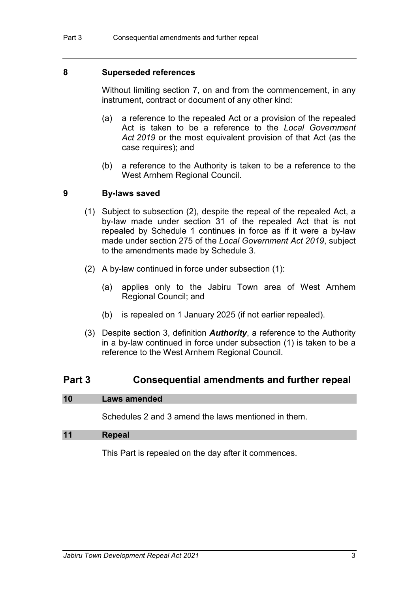#### **8 Superseded references**

Without limiting section [7,](#page-5-0) on and from the commencement, in any instrument, contract or document of any other kind:

- (a) a reference to the repealed Act or a provision of the repealed Act is taken to be a reference to the *Local Government Act 2019* or the most equivalent provision of that Act (as the case requires); and
- (b) a reference to the Authority is taken to be a reference to the West Arnhem Regional Council.

#### **9 By-laws saved**

- (1) Subject to subsection (2), despite the repeal of the repealed Act, a by-law made under section 31 of the repealed Act that is not repealed by Schedule 1 continues in force as if it were a by-law made under section 275 of the *Local Government Act 2019*, subject to the amendments made by Schedule 3.
- (2) A by-law continued in force under subsection (1):
	- (a) applies only to the Jabiru Town area of West Arnhem Regional Council; and
	- (b) is repealed on 1 January 2025 (if not earlier repealed).
- (3) Despite section 3, definition *Authority*, a reference to the Authority in a by-law continued in force under subsection (1) is taken to be a reference to the West Arnhem Regional Council.

### **Part 3 Consequential amendments and further repeal**

#### **10 Laws amended**

<span id="page-6-0"></span>Schedules 2 and 3 amend the laws mentioned in them.

#### **11 Repeal**

This Part is repealed on the day after it commences.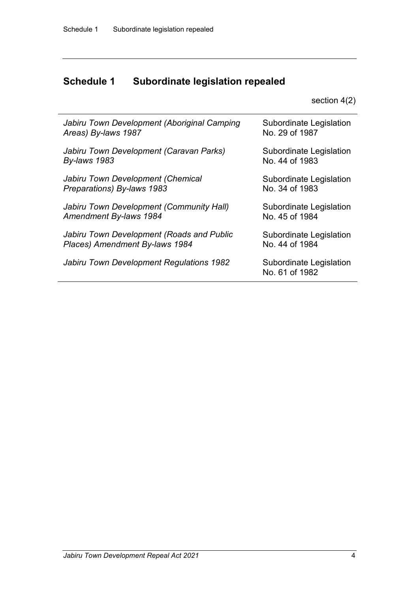# **Schedule 1 Subordinate legislation repealed**

section [4\(](#page-5-1)2)

| Jabiru Town Development (Aboriginal Camping | <b>Subordinate Legislation</b>            |
|---------------------------------------------|-------------------------------------------|
| Areas) By-laws 1987                         | No. 29 of 1987                            |
| Jabiru Town Development (Caravan Parks)     | <b>Subordinate Legislation</b>            |
| <b>By-laws 1983</b>                         | No. 44 of 1983                            |
| Jabiru Town Development (Chemical           | Subordinate Legislation                   |
| Preparations) By-laws 1983                  | No. 34 of 1983                            |
| Jabiru Town Development (Community Hall)    | <b>Subordinate Legislation</b>            |
| Amendment By-laws 1984                      | No. 45 of 1984                            |
| Jabiru Town Development (Roads and Public   | <b>Subordinate Legislation</b>            |
| Places) Amendment By-laws 1984              | No. 44 of 1984                            |
| Jabiru Town Development Regulations 1982    | Subordinate Legislation<br>No. 61 of 1982 |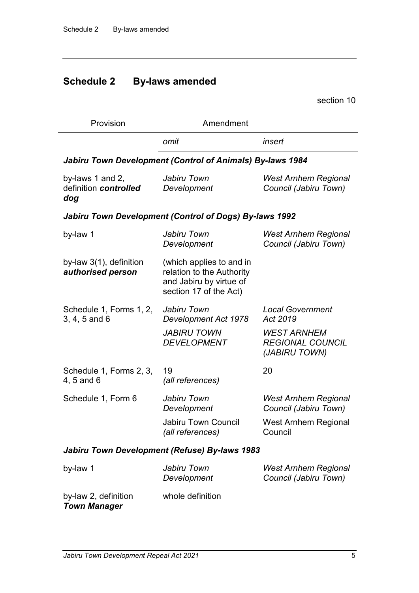# **Schedule 2 By-laws amended**

section [10](#page-6-0)

| Provision                                        | Amendment                                                                                                  |                                                                |
|--------------------------------------------------|------------------------------------------------------------------------------------------------------------|----------------------------------------------------------------|
|                                                  | omit                                                                                                       | insert                                                         |
|                                                  | Jabiru Town Development (Control of Animals) By-laws 1984                                                  |                                                                |
| by-laws 1 and 2,<br>definition controlled<br>dog | Jabiru Town<br>Development                                                                                 | <b>West Arnhem Regional</b><br>Council (Jabiru Town)           |
|                                                  | Jabiru Town Development (Control of Dogs) By-laws 1992                                                     |                                                                |
| by-law 1                                         | Jabiru Town<br>Development                                                                                 | <b>West Arnhem Regional</b><br>Council (Jabiru Town)           |
| by-law $3(1)$ , definition<br>authorised person  | (which applies to and in<br>relation to the Authority<br>and Jabiru by virtue of<br>section 17 of the Act) |                                                                |
| Schedule 1, Forms 1, 2,<br>3, 4, 5 and 6         | Jabiru Town<br>Development Act 1978                                                                        | <b>Local Government</b><br>Act 2019                            |
|                                                  | <b>JABIRU TOWN</b><br><b>DEVELOPMENT</b>                                                                   | <b>WEST ARNHEM</b><br><b>REGIONAL COUNCIL</b><br>(JABIRU TOWN) |
| Schedule 1, Forms 2, 3,<br>4, 5 and 6            | 19<br>(all references)                                                                                     | 20                                                             |
| Schedule 1, Form 6                               | Jabiru Town<br>Development                                                                                 | <b>West Arnhem Regional</b><br>Council (Jabiru Town)           |
|                                                  | <b>Jabiru Town Council</b><br>(all references)                                                             | <b>West Arnhem Regional</b><br>Council                         |
|                                                  | Jabiru Town Development (Refuse) By-laws 1983                                                              |                                                                |
| by-law 1                                         | Jabiru Town<br>Development                                                                                 | <b>West Arnhem Regional</b><br>Council (Jabiru Town)           |
|                                                  |                                                                                                            |                                                                |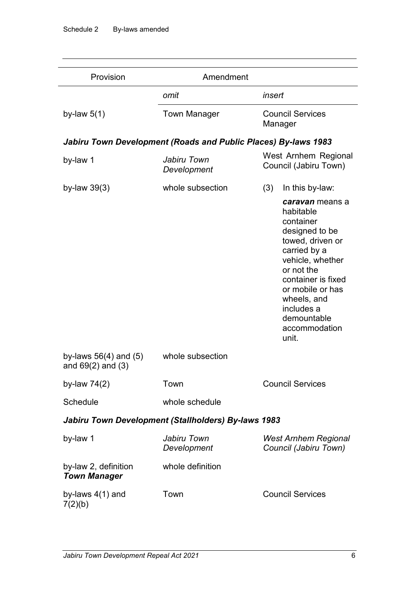| Provision                                           | Amendment                                                      |                                                                                                                                                                                                                                                   |
|-----------------------------------------------------|----------------------------------------------------------------|---------------------------------------------------------------------------------------------------------------------------------------------------------------------------------------------------------------------------------------------------|
|                                                     | omit                                                           | insert                                                                                                                                                                                                                                            |
| by-law $5(1)$                                       | <b>Town Manager</b>                                            | <b>Council Services</b><br>Manager                                                                                                                                                                                                                |
|                                                     | Jabiru Town Development (Roads and Public Places) By-laws 1983 |                                                                                                                                                                                                                                                   |
| by-law 1                                            | Jabiru Town<br>Development                                     | West Arnhem Regional<br>Council (Jabiru Town)                                                                                                                                                                                                     |
| by-law $39(3)$                                      | whole subsection                                               | In this by-law:<br>(3)                                                                                                                                                                                                                            |
|                                                     |                                                                | caravan means a<br>habitable<br>container<br>designed to be<br>towed, driven or<br>carried by a<br>vehicle, whether<br>or not the<br>container is fixed<br>or mobile or has<br>wheels, and<br>includes a<br>demountable<br>accommodation<br>unit. |
| by-laws $56(4)$ and $(5)$<br>and $69(2)$ and $(3)$  | whole subsection                                               |                                                                                                                                                                                                                                                   |
| by-law $74(2)$                                      | Town                                                           | <b>Council Services</b>                                                                                                                                                                                                                           |
| Schedule                                            | whole schedule                                                 |                                                                                                                                                                                                                                                   |
| Jabiru Town Development (Stallholders) By-laws 1983 |                                                                |                                                                                                                                                                                                                                                   |
| by-law 1                                            | Jabiru Town<br>Development                                     | <b>West Arnhem Regional</b><br>Council (Jabiru Town)                                                                                                                                                                                              |
| by-law 2, definition<br><b>Town Manager</b>         | whole definition                                               |                                                                                                                                                                                                                                                   |
| by-laws $4(1)$ and<br>7(2)(b)                       | Town                                                           | <b>Council Services</b>                                                                                                                                                                                                                           |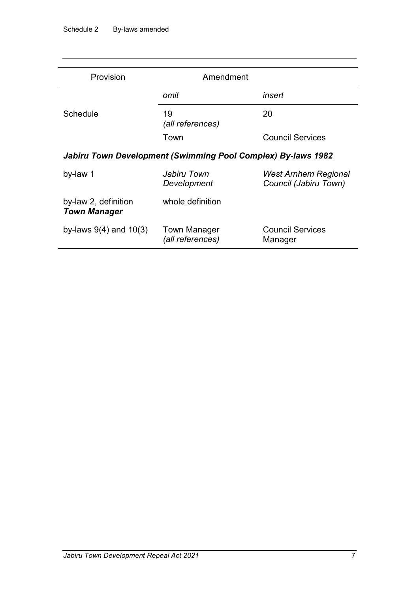| Provision                                                    | Amendment                        |                                                      |  |
|--------------------------------------------------------------|----------------------------------|------------------------------------------------------|--|
|                                                              | omit                             | insert                                               |  |
| Schedule                                                     | 19<br>(all references)           | 20                                                   |  |
|                                                              | Town                             | <b>Council Services</b>                              |  |
| Jabiru Town Development (Swimming Pool Complex) By-laws 1982 |                                  |                                                      |  |
| by-law 1                                                     | Jabiru Town<br>Development       | <b>West Arnhem Regional</b><br>Council (Jabiru Town) |  |
| by-law 2, definition<br><b>Town Manager</b>                  | whole definition                 |                                                      |  |
| by-laws $9(4)$ and $10(3)$                                   | Town Manager<br>(all references) | <b>Council Services</b><br>Manager                   |  |